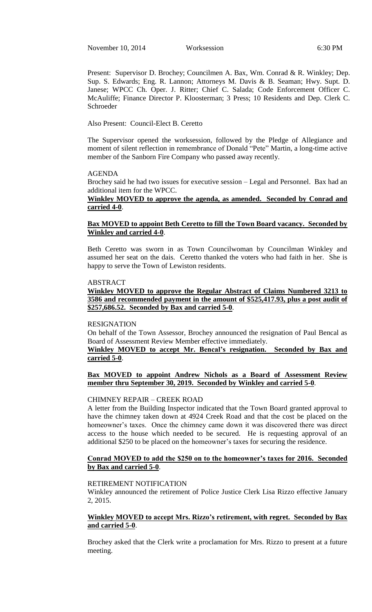November 10, 2014 Worksession 6:30 PM

Present: Supervisor D. Brochey; Councilmen A. Bax, Wm. Conrad & R. Winkley; Dep. Sup. S. Edwards; Eng. R. Lannon; Attorneys M. Davis & B. Seaman; Hwy. Supt. D. Janese; WPCC Ch. Oper. J. Ritter; Chief C. Salada; Code Enforcement Officer C. McAuliffe; Finance Director P. Kloosterman; 3 Press; 10 Residents and Dep. Clerk C. Schroeder

Also Present: Council-Elect B. Ceretto

The Supervisor opened the worksession, followed by the Pledge of Allegiance and moment of silent reflection in remembrance of Donald "Pete" Martin, a long-time active member of the Sanborn Fire Company who passed away recently.

#### AGENDA

Brochey said he had two issues for executive session – Legal and Personnel. Bax had an additional item for the WPCC.

# **Winkley MOVED to approve the agenda, as amended. Seconded by Conrad and carried 4-0**.

## **Bax MOVED to appoint Beth Ceretto to fill the Town Board vacancy. Seconded by Winkley and carried 4-0**.

Beth Ceretto was sworn in as Town Councilwoman by Councilman Winkley and assumed her seat on the dais. Ceretto thanked the voters who had faith in her. She is happy to serve the Town of Lewiston residents.

#### ABSTRACT

## **Winkley MOVED to approve the Regular Abstract of Claims Numbered 3213 to 3586 and recommended payment in the amount of \$525,417.93, plus a post audit of \$257,686.52. Seconded by Bax and carried 5-0**.

#### RESIGNATION

On behalf of the Town Assessor, Brochey announced the resignation of Paul Bencal as Board of Assessment Review Member effective immediately.

# **Winkley MOVED to accept Mr. Bencal's resignation. Seconded by Bax and carried 5-0**.

### **Bax MOVED to appoint Andrew Nichols as a Board of Assessment Review member thru September 30, 2019. Seconded by Winkley and carried 5-0**.

#### CHIMNEY REPAIR – CREEK ROAD

A letter from the Building Inspector indicated that the Town Board granted approval to have the chimney taken down at 4924 Creek Road and that the cost be placed on the homeowner's taxes. Once the chimney came down it was discovered there was direct access to the house which needed to be secured. He is requesting approval of an additional \$250 to be placed on the homeowner's taxes for securing the residence.

### **Conrad MOVED to add the \$250 on to the homeowner's taxes for 2016. Seconded by Bax and carried 5-0**.

#### RETIREMENT NOTIFICATION

Winkley announced the retirement of Police Justice Clerk Lisa Rizzo effective January 2, 2015.

## **Winkley MOVED to accept Mrs. Rizzo's retirement, with regret. Seconded by Bax and carried 5-0**.

Brochey asked that the Clerk write a proclamation for Mrs. Rizzo to present at a future meeting.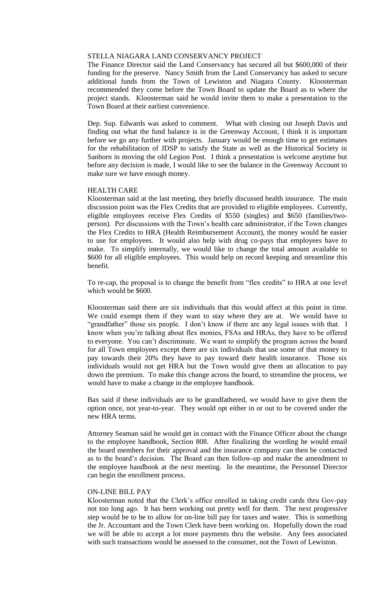### STELLA NIAGARA LAND CONSERVANCY PROJECT

The Finance Director said the Land Conservancy has secured all but \$600,000 of their funding for the preserve. Nancy Smith from the Land Conservancy has asked to secure additional funds from the Town of Lewiston and Niagara County. Kloosterman recommended they come before the Town Board to update the Board as to where the project stands. Kloosterman said he would invite them to make a presentation to the Town Board at their earliest convenience.

Dep. Sup. Edwards was asked to comment. What with closing out Joseph Davis and finding out what the fund balance is in the Greenway Account, I think it is important before we go any further with projects. January would be enough time to get estimates for the rehabilitation of JDSP to satisfy the State as well as the Historical Society in Sanborn in moving the old Legion Post. I think a presentation is welcome anytime but before any decision is made, I would like to see the balance in the Greenway Account to make sure we have enough money.

### HEALTH CARE

Kloosterman said at the last meeting, they briefly discussed health insurance. The main discussion point was the Flex Credits that are provided to eligible employees. Currently, eligible employees receive Flex Credits of \$550 (singles) and \$650 (families/twoperson). Per discussions with the Town's health care administrator, if the Town changes the Flex Credits to HRA (Health Reimbursement Account), the money would be easier to use for employees. It would also help with drug co-pays that employees have to make. To simplify internally, we would like to change the total amount available to \$600 for all eligible employees. This would help on record keeping and streamline this benefit.

To re-cap, the proposal is to change the benefit from "flex credits" to HRA at one level which would be \$600.

Kloosterman said there are six individuals that this would affect at this point in time. We could exempt them if they want to stay where they are at. We would have to "grandfather" those six people. I don't know if there are any legal issues with that. I know when you're talking about flex monies, FSAs and HRAs, they have to be offered to everyone. You can't discriminate. We want to simplify the program across the board for all Town employees except there are six individuals that use some of that money to pay towards their 20% they have to pay toward their health insurance. Those six individuals would not get HRA but the Town would give them an allocation to pay down the premium. To make this change across the board, to streamline the process, we would have to make a change in the employee handbook.

Bax said if these individuals are to be grandfathered, we would have to give them the option once, not year-to-year. They would opt either in or out to be covered under the new HRA terms.

Attorney Seaman said he would get in contact with the Finance Officer about the change to the employee handbook, Section 808. After finalizing the wording he would email the board members for their approval and the insurance company can then be contacted as to the board's decision. The Board can then follow-up and make the amendment to the employee handbook at the next meeting. In the meantime, the Personnel Director can begin the enrollment process.

### ON-LINE BILL PAY

Kloosterman noted that the Clerk's office enrolled in taking credit cards thru Gov-pay not too long ago. It has been working out pretty well for them. The next progressive step would be to be to allow for on-line bill pay for taxes and water. This is something the Jr. Accountant and the Town Clerk have been working on. Hopefully down the road we will be able to accept a lot more payments thru the website. Any fees associated with such transactions would be assessed to the consumer, not the Town of Lewiston.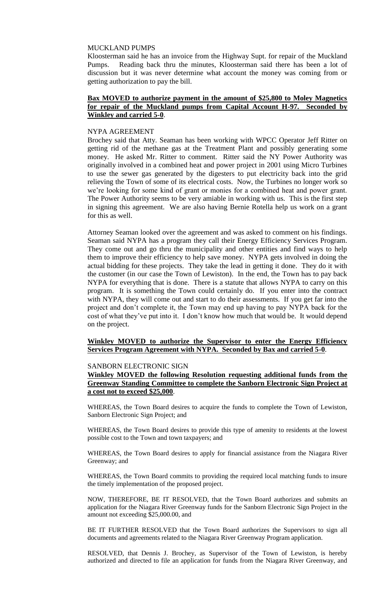## MUCKLAND PUMPS

Kloosterman said he has an invoice from the Highway Supt. for repair of the Muckland Pumps. Reading back thru the minutes, Kloosterman said there has been a lot of discussion but it was never determine what account the money was coming from or getting authorization to pay the bill.

## **Bax MOVED to authorize payment in the amount of \$25,800 to Moley Magnetics for repair of the Muckland pumps from Capital Account H-97. Seconded by Winkley and carried 5-0**.

#### NYPA AGREEMENT

Brochey said that Atty. Seaman has been working with WPCC Operator Jeff Ritter on getting rid of the methane gas at the Treatment Plant and possibly generating some money. He asked Mr. Ritter to comment. Ritter said the NY Power Authority was originally involved in a combined heat and power project in 2001 using Micro Turbines to use the sewer gas generated by the digesters to put electricity back into the grid relieving the Town of some of its electrical costs. Now, the Turbines no longer work so we're looking for some kind of grant or monies for a combined heat and power grant. The Power Authority seems to be very amiable in working with us. This is the first step in signing this agreement. We are also having Bernie Rotella help us work on a grant for this as well.

Attorney Seaman looked over the agreement and was asked to comment on his findings. Seaman said NYPA has a program they call their Energy Efficiency Services Program. They come out and go thru the municipality and other entities and find ways to help them to improve their efficiency to help save money. NYPA gets involved in doing the actual bidding for these projects. They take the lead in getting it done. They do it with the customer (in our case the Town of Lewiston). In the end, the Town has to pay back NYPA for everything that is done. There is a statute that allows NYPA to carry on this program. It is something the Town could certainly do. If you enter into the contract with NYPA, they will come out and start to do their assessments. If you get far into the project and don't complete it, the Town may end up having to pay NYPA back for the cost of what they've put into it. I don't know how much that would be. It would depend on the project.

### **Winkley MOVED to authorize the Supervisor to enter the Energy Efficiency Services Program Agreement with NYPA. Seconded by Bax and carried 5-0**.

### SANBORN ELECTRONIC SIGN

# **Winkley MOVED the following Resolution requesting additional funds from the Greenway Standing Committee to complete the Sanborn Electronic Sign Project at a cost not to exceed \$25,000**.

WHEREAS, the Town Board desires to acquire the funds to complete the Town of Lewiston, Sanborn Electronic Sign Project; and

WHEREAS, the Town Board desires to provide this type of amenity to residents at the lowest possible cost to the Town and town taxpayers; and

WHEREAS, the Town Board desires to apply for financial assistance from the Niagara River Greenway; and

WHEREAS, the Town Board commits to providing the required local matching funds to insure the timely implementation of the proposed project.

NOW, THEREFORE, BE IT RESOLVED, that the Town Board authorizes and submits an application for the Niagara River Greenway funds for the Sanborn Electronic Sign Project in the amount not exceeding \$25,000.00, and

BE IT FURTHER RESOLVED that the Town Board authorizes the Supervisors to sign all documents and agreements related to the Niagara River Greenway Program application.

RESOLVED, that Dennis J. Brochey, as Supervisor of the Town of Lewiston, is hereby authorized and directed to file an application for funds from the Niagara River Greenway, and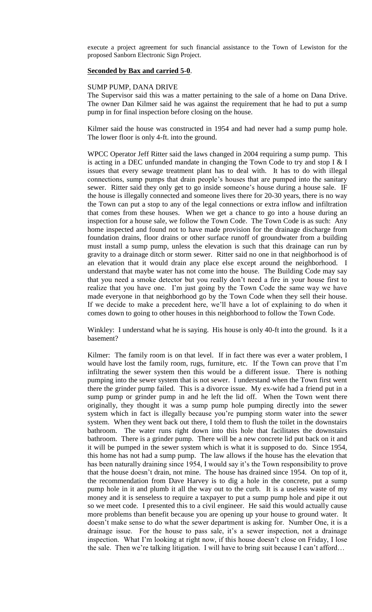execute a project agreement for such financial assistance to the Town of Lewiston for the proposed Sanborn Electronic Sign Project.

### **Seconded by Bax and carried 5-0**.

#### SUMP PUMP, DANA DRIVE

The Supervisor said this was a matter pertaining to the sale of a home on Dana Drive. The owner Dan Kilmer said he was against the requirement that he had to put a sump pump in for final inspection before closing on the house.

Kilmer said the house was constructed in 1954 and had never had a sump pump hole. The lower floor is only 4-ft. into the ground.

WPCC Operator Jeff Ritter said the laws changed in 2004 requiring a sump pump. This is acting in a DEC unfunded mandate in changing the Town Code to try and stop I & I issues that every sewage treatment plant has to deal with. It has to do with illegal connections, sump pumps that drain people's houses that are pumped into the sanitary sewer. Ritter said they only get to go inside someone's house during a house sale. IF the house is illegally connected and someone lives there for 20-30 years, there is no way the Town can put a stop to any of the legal connections or extra inflow and infiltration that comes from these houses. When we get a chance to go into a house during an inspection for a house sale, we follow the Town Code. The Town Code is as such: Any home inspected and found not to have made provision for the drainage discharge from foundation drains, floor drains or other surface runoff of groundwater from a building must install a sump pump, unless the elevation is such that this drainage can run by gravity to a drainage ditch or storm sewer. Ritter said no one in that neighborhood is of an elevation that it would drain any place else except around the neighborhood. I understand that maybe water has not come into the house. The Building Code may say that you need a smoke detector but you really don't need a fire in your house first to realize that you have one. I'm just going by the Town Code the same way we have made everyone in that neighborhood go by the Town Code when they sell their house. If we decide to make a precedent here, we'll have a lot of explaining to do when it comes down to going to other houses in this neighborhood to follow the Town Code.

Winkley: I understand what he is saying. His house is only 40-ft into the ground. Is it a basement?

Kilmer: The family room is on that level. If in fact there was ever a water problem, I would have lost the family room, rugs, furniture, etc. If the Town can prove that I'm infiltrating the sewer system then this would be a different issue. There is nothing pumping into the sewer system that is not sewer. I understand when the Town first went there the grinder pump failed. This is a divorce issue. My ex-wife had a friend put in a sump pump or grinder pump in and he left the lid off. When the Town went there originally, they thought it was a sump pump hole pumping directly into the sewer system which in fact is illegally because you're pumping storm water into the sewer system. When they went back out there, I told them to flush the toilet in the downstairs bathroom. The water runs right down into this hole that facilitates the downstairs bathroom. There is a grinder pump. There will be a new concrete lid put back on it and it will be pumped in the sewer system which is what it is supposed to do. Since 1954, this home has not had a sump pump. The law allows if the house has the elevation that has been naturally draining since 1954, I would say it's the Town responsibility to prove that the house doesn't drain, not mine. The house has drained since 1954. On top of it, the recommendation from Dave Harvey is to dig a hole in the concrete, put a sump pump hole in it and plumb it all the way out to the curb. It is a useless waste of my money and it is senseless to require a taxpayer to put a sump pump hole and pipe it out so we meet code. I presented this to a civil engineer. He said this would actually cause more problems than benefit because you are opening up your house to ground water. It doesn't make sense to do what the sewer department is asking for. Number One, it is a drainage issue. For the house to pass sale, it's a sewer inspection, not a drainage inspection. What I'm looking at right now, if this house doesn't close on Friday, I lose the sale. Then we're talking litigation. I will have to bring suit because I can't afford…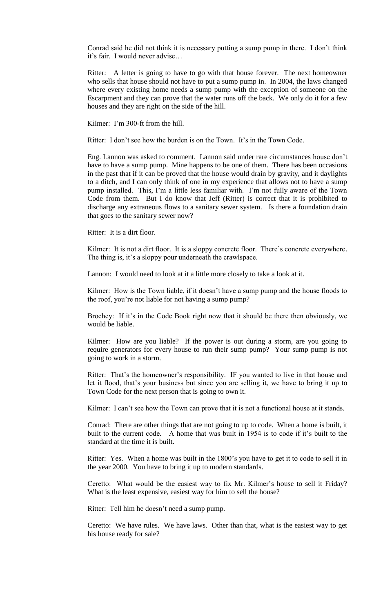Conrad said he did not think it is necessary putting a sump pump in there. I don't think it's fair. I would never advise…

Ritter: A letter is going to have to go with that house forever. The next homeowner who sells that house should not have to put a sump pump in. In 2004, the laws changed where every existing home needs a sump pump with the exception of someone on the Escarpment and they can prove that the water runs off the back. We only do it for a few houses and they are right on the side of the hill.

Kilmer: I'm 300-ft from the hill.

Ritter: I don't see how the burden is on the Town. It's in the Town Code.

Eng. Lannon was asked to comment. Lannon said under rare circumstances house don't have to have a sump pump. Mine happens to be one of them. There has been occasions in the past that if it can be proved that the house would drain by gravity, and it daylights to a ditch, and I can only think of one in my experience that allows not to have a sump pump installed. This, I'm a little less familiar with. I'm not fully aware of the Town Code from them. But I do know that Jeff (Ritter) is correct that it is prohibited to discharge any extraneous flows to a sanitary sewer system. Is there a foundation drain that goes to the sanitary sewer now?

Ritter: It is a dirt floor.

Kilmer: It is not a dirt floor. It is a sloppy concrete floor. There's concrete everywhere. The thing is, it's a sloppy pour underneath the crawlspace.

Lannon: I would need to look at it a little more closely to take a look at it.

Kilmer: How is the Town liable, if it doesn't have a sump pump and the house floods to the roof, you're not liable for not having a sump pump?

Brochey: If it's in the Code Book right now that it should be there then obviously, we would be liable.

Kilmer: How are you liable? If the power is out during a storm, are you going to require generators for every house to run their sump pump? Your sump pump is not going to work in a storm.

Ritter: That's the homeowner's responsibility. IF you wanted to live in that house and let it flood, that's your business but since you are selling it, we have to bring it up to Town Code for the next person that is going to own it.

Kilmer: I can't see how the Town can prove that it is not a functional house at it stands.

Conrad: There are other things that are not going to up to code. When a home is built, it built to the current code. A home that was built in 1954 is to code if it's built to the standard at the time it is built.

Ritter: Yes. When a home was built in the 1800's you have to get it to code to sell it in the year 2000. You have to bring it up to modern standards.

Ceretto: What would be the easiest way to fix Mr. Kilmer's house to sell it Friday? What is the least expensive, easiest way for him to sell the house?

Ritter: Tell him he doesn't need a sump pump.

Ceretto: We have rules. We have laws. Other than that, what is the easiest way to get his house ready for sale?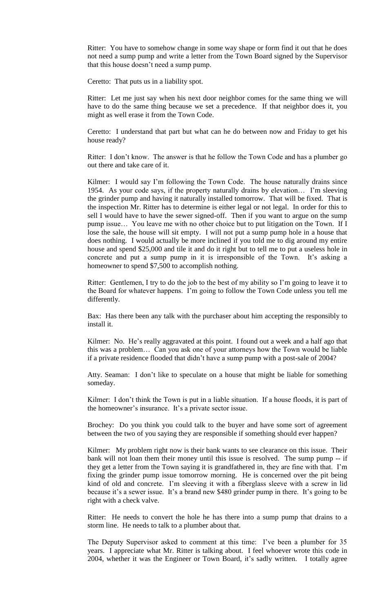Ritter: You have to somehow change in some way shape or form find it out that he does not need a sump pump and write a letter from the Town Board signed by the Supervisor that this house doesn't need a sump pump.

Ceretto: That puts us in a liability spot.

Ritter: Let me just say when his next door neighbor comes for the same thing we will have to do the same thing because we set a precedence. If that neighbor does it, you might as well erase it from the Town Code.

Ceretto: I understand that part but what can he do between now and Friday to get his house ready?

Ritter: I don't know. The answer is that he follow the Town Code and has a plumber go out there and take care of it.

Kilmer: I would say I'm following the Town Code. The house naturally drains since 1954. As your code says, if the property naturally drains by elevation… I'm sleeving the grinder pump and having it naturally installed tomorrow. That will be fixed. That is the inspection Mr. Ritter has to determine is either legal or not legal. In order for this to sell I would have to have the sewer signed-off. Then if you want to argue on the sump pump issue… You leave me with no other choice but to put litigation on the Town. If I lose the sale, the house will sit empty. I will not put a sump pump hole in a house that does nothing. I would actually be more inclined if you told me to dig around my entire house and spend \$25,000 and tile it and do it right but to tell me to put a useless hole in concrete and put a sump pump in it is irresponsible of the Town. It's asking a homeowner to spend \$7,500 to accomplish nothing.

Ritter: Gentlemen, I try to do the job to the best of my ability so I'm going to leave it to the Board for whatever happens. I'm going to follow the Town Code unless you tell me differently.

Bax: Has there been any talk with the purchaser about him accepting the responsibly to install it.

Kilmer: No. He's really aggravated at this point. I found out a week and a half ago that this was a problem… Can you ask one of your attorneys how the Town would be liable if a private residence flooded that didn't have a sump pump with a post-sale of 2004?

Atty. Seaman: I don't like to speculate on a house that might be liable for something someday.

Kilmer: I don't think the Town is put in a liable situation. If a house floods, it is part of the homeowner's insurance. It's a private sector issue.

Brochey: Do you think you could talk to the buyer and have some sort of agreement between the two of you saying they are responsible if something should ever happen?

Kilmer: My problem right now is their bank wants to see clearance on this issue. Their bank will not loan them their money until this issue is resolved. The sump pump -- if they get a letter from the Town saying it is grandfathered in, they are fine with that. I'm fixing the grinder pump issue tomorrow morning. He is concerned over the pit being kind of old and concrete. I'm sleeving it with a fiberglass sleeve with a screw in lid because it's a sewer issue. It's a brand new \$480 grinder pump in there. It's going to be right with a check valve.

Ritter: He needs to convert the hole he has there into a sump pump that drains to a storm line. He needs to talk to a plumber about that.

The Deputy Supervisor asked to comment at this time: I've been a plumber for 35 years. I appreciate what Mr. Ritter is talking about. I feel whoever wrote this code in 2004, whether it was the Engineer or Town Board, it's sadly written. I totally agree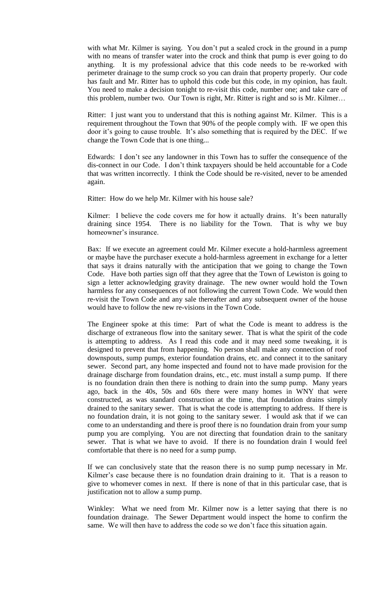with what Mr. Kilmer is saying. You don't put a sealed crock in the ground in a pump with no means of transfer water into the crock and think that pump is ever going to do anything. It is my professional advice that this code needs to be re-worked with perimeter drainage to the sump crock so you can drain that property properly. Our code has fault and Mr. Ritter has to uphold this code but this code, in my opinion, has fault. You need to make a decision tonight to re-visit this code, number one; and take care of this problem, number two. Our Town is right, Mr. Ritter is right and so is Mr. Kilmer…

Ritter: I just want you to understand that this is nothing against Mr. Kilmer. This is a requirement throughout the Town that 90% of the people comply with. IF we open this door it's going to cause trouble. It's also something that is required by the DEC. If we change the Town Code that is one thing...

Edwards: I don't see any landowner in this Town has to suffer the consequence of the dis-connect in our Code. I don't think taxpayers should be held accountable for a Code that was written incorrectly. I think the Code should be re-visited, never to be amended again.

Ritter: How do we help Mr. Kilmer with his house sale?

Kilmer: I believe the code covers me for how it actually drains. It's been naturally draining since 1954. There is no liability for the Town. That is why we buy homeowner's insurance.

Bax: If we execute an agreement could Mr. Kilmer execute a hold-harmless agreement or maybe have the purchaser execute a hold-harmless agreement in exchange for a letter that says it drains naturally with the anticipation that we going to change the Town Code. Have both parties sign off that they agree that the Town of Lewiston is going to sign a letter acknowledging gravity drainage. The new owner would hold the Town harmless for any consequences of not following the current Town Code. We would then re-visit the Town Code and any sale thereafter and any subsequent owner of the house would have to follow the new re-visions in the Town Code.

The Engineer spoke at this time: Part of what the Code is meant to address is the discharge of extraneous flow into the sanitary sewer. That is what the spirit of the code is attempting to address. As I read this code and it may need some tweaking, it is designed to prevent that from happening. No person shall make any connection of roof downspouts, sump pumps, exterior foundation drains, etc. and connect it to the sanitary sewer. Second part, any home inspected and found not to have made provision for the drainage discharge from foundation drains, etc., etc. must install a sump pump. If there is no foundation drain then there is nothing to drain into the sump pump. Many years ago, back in the 40s, 50s and 60s there were many homes in WNY that were constructed, as was standard construction at the time, that foundation drains simply drained to the sanitary sewer. That is what the code is attempting to address. If there is no foundation drain, it is not going to the sanitary sewer. I would ask that if we can come to an understanding and there is proof there is no foundation drain from your sump pump you are complying. You are not directing that foundation drain to the sanitary sewer. That is what we have to avoid. If there is no foundation drain I would feel comfortable that there is no need for a sump pump.

If we can conclusively state that the reason there is no sump pump necessary in Mr. Kilmer's case because there is no foundation drain draining to it. That is a reason to give to whomever comes in next. If there is none of that in this particular case, that is justification not to allow a sump pump.

Winkley: What we need from Mr. Kilmer now is a letter saying that there is no foundation drainage. The Sewer Department would inspect the home to confirm the same. We will then have to address the code so we don't face this situation again.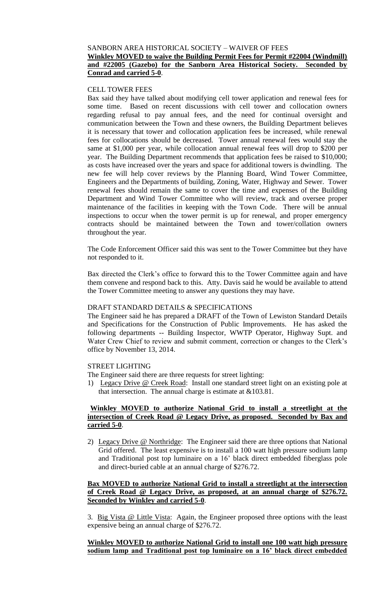# SANBORN AREA HISTORICAL SOCIETY – WAIVER OF FEES **Winkley MOVED to waive the Building Permit Fees for Permit #22004 (Windmill) and #22005 (Gazebo) for the Sanborn Area Historical Society. Seconded by Conrad and carried 5-0**.

## CELL TOWER FEES

Bax said they have talked about modifying cell tower application and renewal fees for some time. Based on recent discussions with cell tower and collocation owners regarding refusal to pay annual fees, and the need for continual oversight and communication between the Town and these owners, the Building Department believes it is necessary that tower and collocation application fees be increased, while renewal fees for collocations should be decreased. Tower annual renewal fees would stay the same at \$1,000 per year, while collocation annual renewal fees will drop to \$200 per year. The Building Department recommends that application fees be raised to \$10,000; as costs have increased over the years and space for additional towers is dwindling. The new fee will help cover reviews by the Planning Board, Wind Tower Committee, Engineers and the Departments of building, Zoning, Water, Highway and Sewer. Tower renewal fees should remain the same to cover the time and expenses of the Building Department and Wind Tower Committee who will review, track and oversee proper maintenance of the facilities in keeping with the Town Code. There will be annual inspections to occur when the tower permit is up for renewal, and proper emergency contracts should be maintained between the Town and tower/collation owners throughout the year.

The Code Enforcement Officer said this was sent to the Tower Committee but they have not responded to it.

Bax directed the Clerk's office to forward this to the Tower Committee again and have them convene and respond back to this. Atty. Davis said he would be available to attend the Tower Committee meeting to answer any questions they may have.

## DRAFT STANDARD DETAILS & SPECIFICATIONS

The Engineer said he has prepared a DRAFT of the Town of Lewiston Standard Details and Specifications for the Construction of Public Improvements. He has asked the following departments -- Building Inspector, WWTP Operator, Highway Supt. and Water Crew Chief to review and submit comment, correction or changes to the Clerk's office by November 13, 2014.

# STREET LIGHTING

The Engineer said there are three requests for street lighting:

1) Legacy Drive @ Creek Road: Install one standard street light on an existing pole at that intersection. The annual charge is estimate at &103.81.

# **Winkley MOVED to authorize National Grid to install a streetlight at the intersection of Creek Road @ Legacy Drive, as proposed. Seconded by Bax and carried 5-0**.

2) Legacy Drive @ Northridge: The Engineer said there are three options that National Grid offered. The least expensive is to install a 100 watt high pressure sodium lamp and Traditional post top luminaire on a 16' black direct embedded fiberglass pole and direct-buried cable at an annual charge of \$276.72.

# **Bax MOVED to authorize National Grid to install a streetlight at the intersection of Creek Road @ Legacy Drive, as proposed, at an annual charge of \$276.72. Seconded by Winkley and carried 5-0**.

3. Big Vista @ Little Vista: Again, the Engineer proposed three options with the least expensive being an annual charge of \$276.72.

# **Winkley MOVED to authorize National Grid to install one 100 watt high pressure sodium lamp and Traditional post top luminaire on a 16' black direct embedded**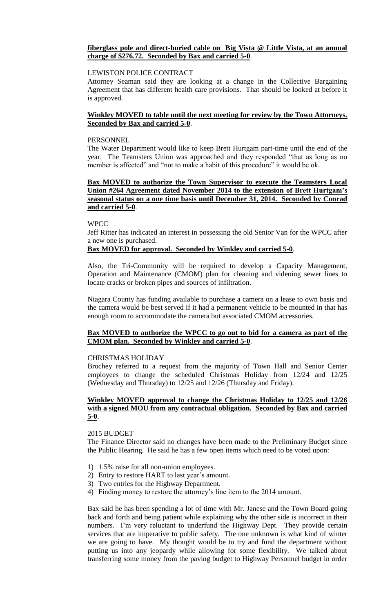## **fiberglass pole and direct-buried cable on Big Vista @ Little Vista, at an annual charge of \$276.72. Seconded by Bax and carried 5-0**.

### LEWISTON POLICE CONTRACT

Attorney Seaman said they are looking at a change in the Collective Bargaining Agreement that has different health care provisions. That should be looked at before it is approved.

# **Winkley MOVED to table until the next meeting for review by the Town Attorneys. Seconded by Bax and carried 5-0**.

#### PERSONNEL

The Water Department would like to keep Brett Hurtgam part-time until the end of the year. The Teamsters Union was approached and they responded "that as long as no member is affected" and "not to make a habit of this procedure" it would be ok.

## **Bax MOVED to authorize the Town Supervisor to execute the Teamsters Local Union #264 Agreement dated November 2014 to the extension of Brett Hurtgam's seasonal status on a one time basis until December 31, 2014. Seconded by Conrad and carried 5-0**.

### **WPCC**

Jeff Ritter has indicated an interest in possessing the old Senior Van for the WPCC after a new one is purchased.

## **Bax MOVED for approval. Seconded by Winkley and carried 5-0**.

Also, the Tri-Community will be required to develop a Capacity Management, Operation and Maintenance (CMOM) plan for cleaning and videoing sewer lines to locate cracks or broken pipes and sources of infiltration.

Niagara County has funding available to purchase a camera on a lease to own basis and the camera would be best served if it had a permanent vehicle to be mounted in that has enough room to accommodate the camera but associated CMOM accessories.

# **Bax MOVED to authorize the WPCC to go out to bid for a camera as part of the CMOM plan. Seconded by Winkley and carried 5-0**.

### CHRISTMAS HOLIDAY

Brochey referred to a request from the majority of Town Hall and Senior Center employees to change the scheduled Christmas Holiday from 12/24 and 12/25 (Wednesday and Thursday) to 12/25 and 12/26 (Thursday and Friday).

### **Winkley MOVED approval to change the Christmas Holiday to 12/25 and 12/26 with a signed MOU from any contractual obligation. Seconded by Bax and carried 5-0**.

### 2015 BUDGET

The Finance Director said no changes have been made to the Preliminary Budget since the Public Hearing. He said he has a few open items which need to be voted upon:

- 1) 1.5% raise for all non-union employees.
- 2) Entry to restore HART to last year's amount.
- 3) Two entries for the Highway Department.
- 4) Finding money to restore the attorney's line item to the 2014 amount.

Bax said he has been spending a lot of time with Mr. Janese and the Town Board going back and forth and being patient while explaining why the other side is incorrect in their numbers. I'm very reluctant to underfund the Highway Dept. They provide certain services that are imperative to public safety. The one unknown is what kind of winter we are going to have. My thought would be to try and fund the department without putting us into any jeopardy while allowing for some flexibility. We talked about transferring some money from the paving budget to Highway Personnel budget in order